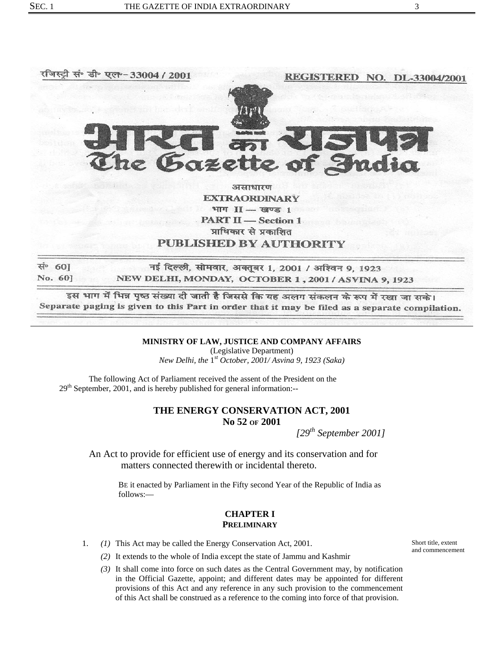

Separate paging is given to this Part in order that it may be filed as a separate compilation.

#### **MINISTRY OF LAW, JUSTICE AND COMPANY AFFAIRS**

(Legislative Department) *New Delhi, the* 1*st October, 2001/ Asvina 9, 1923 (Saka)* 

29<sup>th</sup> September, 2001, and is hereby published for general information:--The following Act of Parliament received the assent of the President on the

# **THE ENERGY CONSERVATION ACT, 2001 No 52 OF 2001**

*[29th September 2001]* 

An Act to provide for efficient use of energy and its conservation and for matters connected therewith or incidental thereto.

> BE it enacted by Parliament in the Fifty second Year of the Republic of India as follows:—

#### **CHAPTER I PRELIMINARY**

1. (1) This Act may be called the Energy Conservation Act, 2001. Short title, extent

*(2)* It extends to the whole of India except the state of Jammu and Kashmir

*(3)* It shall come into force on such dates as the Central Government may, by notification in the Official Gazette, appoint; and different dates may be appointed for different provisions of this Act and any reference in any such provision to the commencement of this Act shall be construed as a reference to the coming into force of that provision.

and commencement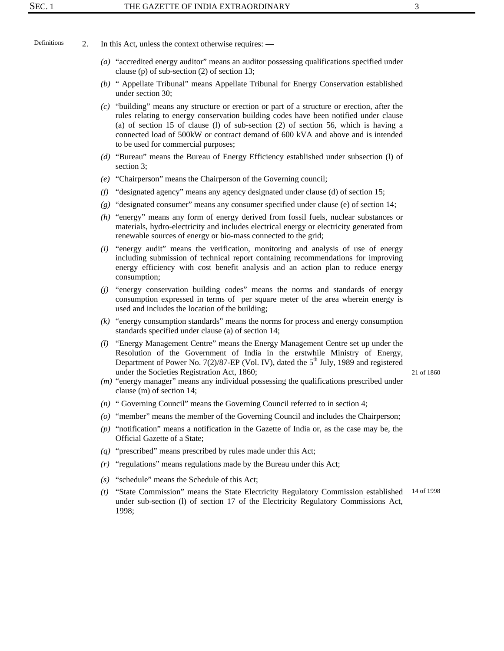- Definitions 2. In this Act, unless the context otherwise requires:
	- clause (p) of sub-section (2) of section 13; *(a)* "accredited energy auditor" means an auditor possessing qualifications specified under
	- *(b)* " Appellate Tribunal" means Appellate Tribunal for Energy Conservation established under section 30;
	- *(c)* "building" means any structure or erection or part of a structure or erection, after the rules relating to energy conservation building codes have been notified under clause (a) of section 15 of clause (l) of sub-section (2) of section 56, which is having a connected load of 500kW or contract demand of 600 kVA and above and is intended to be used for commercial purposes;
	- *(d)* "Bureau" means the Bureau of Energy Efficiency established under subsection (l) of section 3;
	- *(e)* "Chairperson" means the Chairperson of the Governing council;
	- *(f)* "designated agency" means any agency designated under clause (d) of section 15;
	- *(g)* "designated consumer" means any consumer specified under clause (e) of section 14;
	- *(h)* "energy" means any form of energy derived from fossil fuels, nuclear substances or materials, hydro-electricity and includes electrical energy or electricity generated from renewable sources of energy or bio-mass connected to the grid;
	- *(i)* "energy audit" means the verification, monitoring and analysis of use of energy including submission of technical report containing recommendations for improving energy efficiency with cost benefit analysis and an action plan to reduce energy consumption;
	- *(j)* "energy conservation building codes" means the norms and standards of energy consumption expressed in terms of per square meter of the area wherein energy is used and includes the location of the building;
	- *(k)* "energy consumption standards" means the norms for process and energy consumption standards specified under clause (a) of section 14;
	- *(l)* "Energy Management Centre" means the Energy Management Centre set up under the Resolution of the Government of India in the erstwhile Ministry of Energy, Department of Power No. 7(2)/87-EP (Vol. IV), dated the  $5<sup>th</sup>$  July, 1989 and registered under the Societies Registration Act, 1860; 21 of 1860

- *(m)* "energy manager" means any individual possessing the qualifications prescribed under clause (m) of section 14;
- $(n)$  " Governing Council" means the Governing Council referred to in section 4;
- *(o)* "member" means the member of the Governing Council and includes the Chairperson;
- *(p)* "notification" means a notification in the Gazette of India or, as the case may be, the Official Gazette of a State;
- *(q)* "prescribed" means prescribed by rules made under this Act;
- *(r)* "regulations" means regulations made by the Bureau under this Act;
- *(s)* "schedule" means the Schedule of this Act;
- *(t)* "State Commission" means the State Electricity Regulatory Commission established 14 of 1998 under sub-section (l) of section 17 of the Electricity Regulatory Commissions Act, 1998;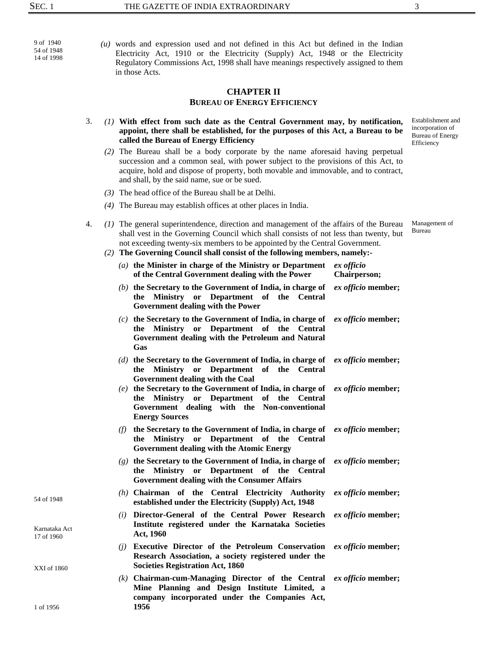Establishment and incorporation of Bureau of Energy Efficiency

9 of 1940 54 of 1948 14 of 1998

1 of 1956 **1956** 

*(u)* words and expression used and not defined in this Act but defined in the Indian Electricity Act, 1910 or the Electricity (Supply) Act, 1948 or the Electricity Regulatory Commissions Act, 1998 shall have meanings respectively assigned to them in those Acts.

# **CHAPTER II BUREAU OF ENERGY EFFICIENCY**

- **appoint, there shall be established, for the purposes of this Act, a Bureau to be**  3. *(1)* **With effect from such date as the Central Government may, by notification, called the Bureau of Energy Efficiency** 
	- *(2)* The Bureau shall be a body corporate by the name aforesaid having perpetual succession and a common seal, with power subject to the provisions of this Act, to acquire, hold and dispose of property, both movable and immovable, and to contract, and shall, by the said name, sue or be sued.
	- *(3)* The head office of the Bureau shall be at Delhi.
	- *(4)* The Bureau may establish offices at other places in India.

|  | 4. (1) The general superintendence, direction and management of the affairs of the Bureau Management of |  |
|--|---------------------------------------------------------------------------------------------------------|--|
|  | shall vest in the Governing Council which shall consists of not less than twenty, but Bureau            |  |
|  | not exceeding twenty-six members to be appointed by the Central Government.                             |  |

# *(2)* **The Governing Council shall consist of the following members, namely:-**

|                             | (a) the Minister in charge of the Ministry or Department $ex$ officio<br>of the Central Government dealing with the Power                                                                             | Chairperson;              |
|-----------------------------|-------------------------------------------------------------------------------------------------------------------------------------------------------------------------------------------------------|---------------------------|
|                             | $(b)$ the Secretary to the Government of India, in charge of<br>the Ministry or Department of the Central<br>Government dealing with the Power                                                        | ex officio member;        |
|                             | $(c)$ the Secretary to the Government of India, in charge of<br>the Ministry or Department of the Central<br>Government dealing with the Petroleum and Natural<br>Gas                                 | <i>ex officio</i> member; |
|                             | (d) the Secretary to the Government of India, in charge of $ex$ officio member;<br>the Ministry or Department of the Central<br>Government dealing with the Coal                                      |                           |
|                             | (e) the Secretary to the Government of India, in charge of $ex$ officio member;<br>the Ministry or Department of the Central<br>Government dealing with the Non-conventional<br><b>Energy Sources</b> |                           |
|                             | (f) the Secretary to the Government of India, in charge of $ex$ officio member;<br>the Ministry or Department of the Central<br><b>Government dealing with the Atomic Energy</b>                      |                           |
|                             | $(g)$ the Secretary to the Government of India, in charge of<br>Ministry or Department of the Central<br>the<br><b>Government dealing with the Consumer Affairs</b>                                   | ex officio member;        |
| 54 of 1948                  | (h) Chairman of the Central Electricity Authority ex officio member;<br>established under the Electricity (Supply) Act, 1948                                                                          |                           |
| Karnataka Act<br>17 of 1960 | Director-General of the Central Power Research<br>(i)<br>Institute registered under the Karnataka Societies<br>Act, 1960                                                                              | <i>ex officio</i> member; |
| XXI of 1860                 | Executive Director of the Petroleum Conservation ex officio member;<br>(i)<br>Research Association, a society registered under the<br><b>Societies Registration Act, 1860</b>                         |                           |
| 1 of 1956                   | $(k)$ Chairman-cum-Managing Director of the Central ex officio member;<br>Mine Planning and Design Institute Limited, a<br>company incorporated under the Companies Act,<br>1956                      |                           |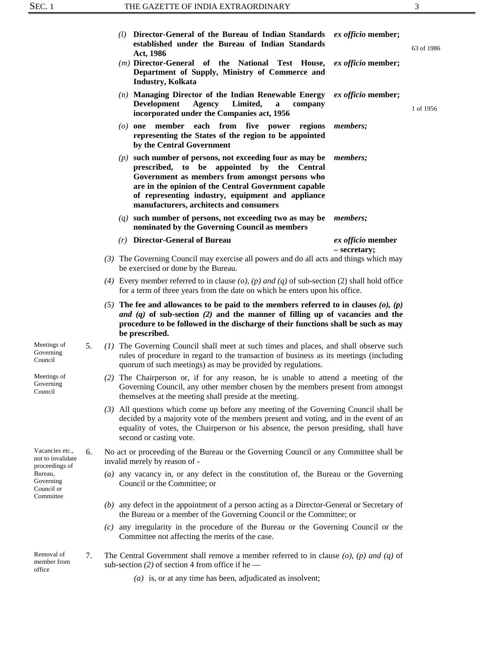|                                                        |    | Director-General of the Bureau of Indian Standards ex officio member;<br>(1)<br>established under the Bureau of Indian Standards<br>Act, 1986                                                                                                                                                                      |                                   | 63 of 1986 |
|--------------------------------------------------------|----|--------------------------------------------------------------------------------------------------------------------------------------------------------------------------------------------------------------------------------------------------------------------------------------------------------------------|-----------------------------------|------------|
|                                                        |    | ( <i>m</i> ) Director-General of the National Test House,<br>Department of Supply, Ministry of Commerce and<br><b>Industry, Kolkata</b>                                                                                                                                                                            | ex officio member;                |            |
|                                                        |    | $(n)$ Managing Director of the Indian Renewable Energy<br><b>Development</b><br>Agency Limited,<br>a<br>company<br>incorporated under the Companies act, 1956                                                                                                                                                      | ex officio member;                | 1 of 1956  |
|                                                        |    | each from five power<br>$(o)$ one member<br>regions<br>representing the States of the region to be appointed<br>by the Central Government                                                                                                                                                                          | <i>members;</i>                   |            |
|                                                        |    | $(p)$ such number of persons, not exceeding four as may be<br>prescribed, to be appointed by the Central<br>Government as members from amongst persons who<br>are in the opinion of the Central Government capable<br>of representing industry, equipment and appliance<br>manufacturers, architects and consumers | <i>members;</i>                   |            |
|                                                        |    | $(q)$ such number of persons, not exceeding two as may be <i>members</i> ;<br>nominated by the Governing Council as members                                                                                                                                                                                        |                                   |            |
|                                                        |    | $(r)$ Director-General of Bureau                                                                                                                                                                                                                                                                                   | ex officio member<br>- secretary; |            |
|                                                        |    | $(3)$ The Governing Council may exercise all powers and do all acts and things which may<br>be exercised or done by the Bureau.                                                                                                                                                                                    |                                   |            |
|                                                        |    | (4) Every member referred to in clause (o), (p) and (q) of sub-section (2) shall hold office<br>for a term of three years from the date on which he enters upon his office.                                                                                                                                        |                                   |            |
|                                                        |    | (5) The fee and allowances to be paid to the members referred to in clauses (o), (p)<br>and $(q)$ of sub-section (2) and the manner of filling up of vacancies and the<br>procedure to be followed in the discharge of their functions shall be such as may<br>be prescribed.                                      |                                   |            |
| Meetings of<br>Governing<br>Council                    | 5. | (1) The Governing Council shall meet at such times and places, and shall observe such<br>rules of procedure in regard to the transaction of business as its meetings (including<br>quorum of such meetings) as may be provided by regulations.                                                                     |                                   |            |
| Meetings of<br>Governing<br>Council                    |    | (2) The Chairperson or, if for any reason, he is unable to attend a meeting of the<br>Governing Council, any other member chosen by the members present from amongst<br>themselves at the meeting shall preside at the meeting.                                                                                    |                                   |            |
|                                                        |    | (3) All questions which come up before any meeting of the Governing Council shall be<br>decided by a majority vote of the members present and voting, and in the event of an<br>equality of votes, the Chairperson or his absence, the person presiding, shall have<br>second or casting vote.                     |                                   |            |
| Vacancies etc.,<br>not to invalidate<br>proceedings of | 6. | No act or proceeding of the Bureau or the Governing Council or any Committee shall be<br>invalid merely by reason of -                                                                                                                                                                                             |                                   |            |
| Bureau,<br>Governing<br>Council or<br>Committee        |    | ( $a$ ) any vacancy in, or any defect in the constitution of, the Bureau or the Governing<br>Council or the Committee; or                                                                                                                                                                                          |                                   |            |
|                                                        |    | (b) any defect in the appointment of a person acting as a Director-General or Secretary of<br>the Bureau or a member of the Governing Council or the Committee; or                                                                                                                                                 |                                   |            |
|                                                        |    | any irregularity in the procedure of the Bureau or the Governing Council or the<br>(c)<br>Committee not affecting the merits of the case.                                                                                                                                                                          |                                   |            |
| Removal of<br>member from                              | 7. | The Central Government shall remove a member referred to in clause (o), (p) and (q) of<br>sub-section (2) of section 4 from office if he $-$                                                                                                                                                                       |                                   |            |

*(a)* is, or at any time has been, adjudicated as insolvent;

office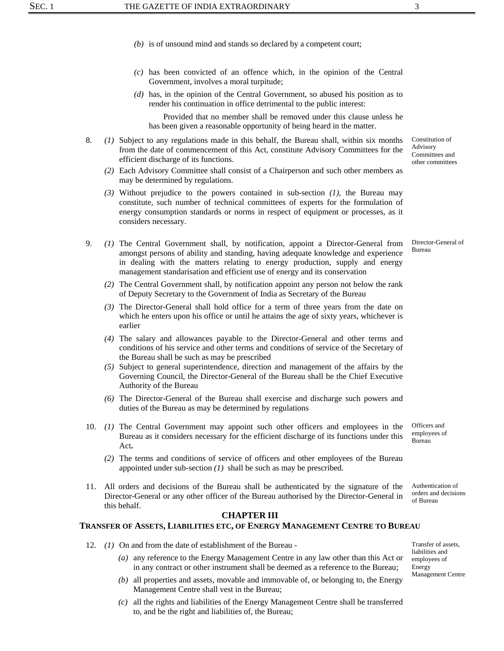- *(b)* is of unsound mind and stands so declared by a competent court;
- *(c)* has been convicted of an offence which, in the opinion of the Central Government, involves a moral turpitude;
- *(d)* has, in the opinion of the Central Government, so abused his position as to render his continuation in office detrimental to the public interest:

Provided that no member shall be removed under this clause unless he has been given a reasonable opportunity of being heard in the matter.

- 8. *(1)* Subject to any regulations made in this behalf, the Bureau shall, within six months from the date of commencement of this Act, constitute Advisory Committees for the efficient discharge of its functions.
	- *(2)* Each Advisory Committee shall consist of a Chairperson and such other members as may be determined by regulations.
	- *(3)* Without prejudice to the powers contained in sub-section *(1)*, the Bureau may constitute, such number of technical committees of experts for the formulation of energy consumption standards or norms in respect of equipment or processes, as it considers necessary.
- in dealing with the matters relating to energy production, supply and energy 9. *(1)* The Central Government shall, by notification, appoint a Director-General from amongst persons of ability and standing, having adequate knowledge and experience management standarisation and efficient use of energy and its conservation
	- *(2)* The Central Government shall, by notification appoint any person not below the rank of Deputy Secretary to the Government of India as Secretary of the Bureau
	- *(3)* The Director-General shall hold office for a term of three years from the date on which he enters upon his office or until he attains the age of sixty years, whichever is earlier
	- *(4)* The salary and allowances payable to the Director-General and other terms and conditions of his service and other terms and conditions of service of the Secretary of the Bureau shall be such as may be prescribed
	- *(5)* Subject to general superintendence, direction and management of the affairs by the Governing Council, the Director-General of the Bureau shall be the Chief Executive Authority of the Bureau
	- *(6)* The Director-General of the Bureau shall exercise and discharge such powers and duties of the Bureau as may be determined by regulations
- 10. *(1)* The Central Government may appoint such other officers and employees in the Bureau as it considers necessary for the efficient discharge of its functions under this Act**.** 
	- *(2)* The terms and conditions of service of officers and other employees of the Bureau appointed under sub-section *(1)* shall be such as may be prescribed.
- Director-General or any other officer of the Bureau authorised by the Director-General in 11. All orders and decisions of the Bureau shall be authenticated by the signature of the this behalf.

#### **CHAPTER III**

# **TRANSFER OF ASSETS, LIABILITIES ETC, OF ENERGY MANAGEMENT CENTRE TO BUREAU**

- 12. *(1)* On and from the date of establishment of the Bureau
	- *(a)* any reference to the Energy Management Centre in any law other than this Act or in any contract or other instrument shall be deemed as a reference to the Bureau;
	- *(b)* all properties and assets, movable and immovable of, or belonging to, the Energy Management Centre shall vest in the Bureau;
	- *(c)* all the rights and liabilities of the Energy Management Centre shall be transferred to, and be the right and liabilities of, the Bureau;

Constitution of Advisory Committees and other committees

Director-General of Bureau

Officers and employees of Bureau

Authentication of orders and decisions of Bureau

Transfer of assets, liabilities and employees of Energy Management Centre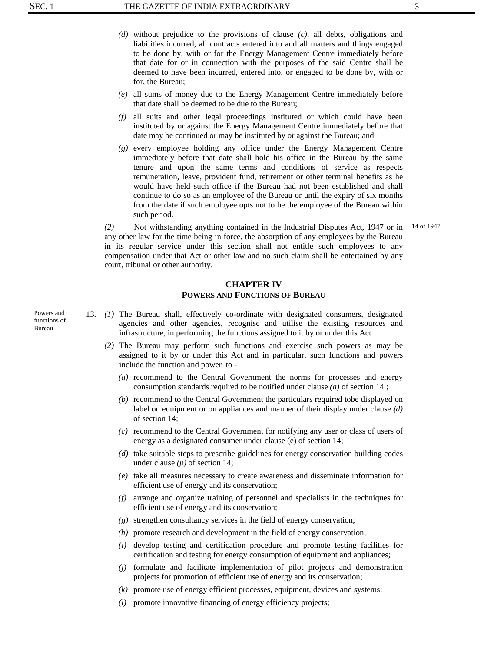- *(d)* without prejudice to the provisions of clause *(c)*, all debts, obligations and liabilities incurred, all contracts entered into and all matters and things engaged to be done by, with or for the Energy Management Centre immediately before that date for or in connection with the purposes of the said Centre shall be deemed to have been incurred, entered into, or engaged to be done by, with or for, the Bureau;
- *(e)* all sums of money due to the Energy Management Centre immediately before that date shall be deemed to be due to the Bureau;
- *(f)* all suits and other legal proceedings instituted or which could have been instituted by or against the Energy Management Centre immediately before that date may be continued or may be instituted by or against the Bureau; and
- remuneration, leave, provident fund, retirement or other terminal benefits as he *(g)* every employee holding any office under the Energy Management Centre immediately before that date shall hold his office in the Bureau by the same tenure and upon the same terms and conditions of service as respects would have held such office if the Bureau had not been established and shall continue to do so as an employee of the Bureau or until the expiry of six months from the date if such employee opts not to be the employee of the Bureau within such period.

*(2)* Not withstanding anything contained in the Industrial Disputes Act, 1947 or in 14 of 1947 any other law for the time being in force, the absorption of any employees by the Bureau in its regular service under this section shall not entitle such employees to any compensation under that Act or other law and no such claim shall be entertained by any court, tribunal or other authority.

# **CHAPTER IV POWERS AND FUNCTIONS OF BUREAU**

Powers and functions of Bureau

 infrastructure, in performing the functions assigned to it by or under this Act 13. *(1)* The Bureau shall, effectively co-ordinate with designated consumers, designated agencies and other agencies, recognise and utilise the existing resources and

- *(2)* The Bureau may perform such functions and exercise such powers as may be assigned to it by or under this Act and in particular, such functions and powers include the function and power to -
	- *(a)* recommend to the Central Government the norms for processes and energy consumption standards required to be notified under clause *(a)* of section 14 ;
	- *(b)* recommend to the Central Government the particulars required tobe displayed on label on equipment or on appliances and manner of their display under clause *(d)*  of section 14;
	- *(c)* recommend to the Central Government for notifying any user or class of users of energy as a designated consumer under clause (e) of section 14;
	- *(d)* take suitable steps to prescribe guidelines for energy conservation building codes under clause *(p)* of section 14;
	- *(e)* take all measures necessary to create awareness and disseminate information for efficient use of energy and its conservation;
	- *(f)* arrange and organize training of personnel and specialists in the techniques for efficient use of energy and its conservation;
	- *(g)* strengthen consultancy services in the field of energy conservation;
	- *(h)* promote research and development in the field of energy conservation;
	- *(i)* develop testing and certification procedure and promote testing facilities for certification and testing for energy consumption of equipment and appliances;
	- *(j)* formulate and facilitate implementation of pilot projects and demonstration projects for promotion of efficient use of energy and its conservation;
	- *(k)* promote use of energy efficient processes, equipment, devices and systems;
	- *(l)* promote innovative financing of energy efficiency projects;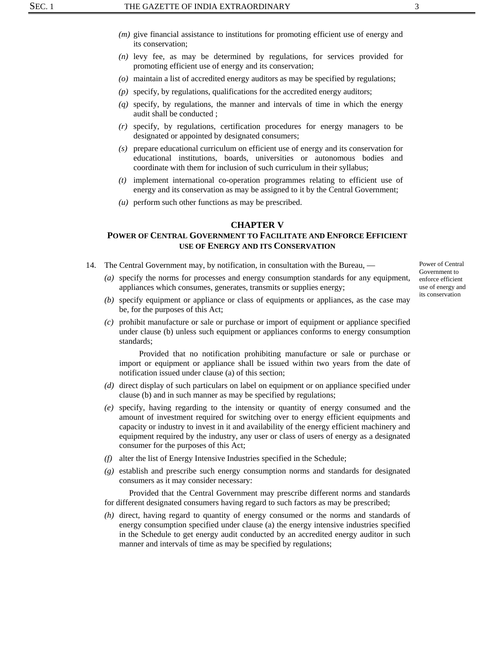- *(m)* give financial assistance to institutions for promoting efficient use of energy and its conservation;
- *(n)* levy fee, as may be determined by regulations, for services provided for promoting efficient use of energy and its conservation;
- *(o)* maintain a list of accredited energy auditors as may be specified by regulations;
- *(p)* specify, by regulations, qualifications for the accredited energy auditors;
- *(q)* specify, by regulations, the manner and intervals of time in which the energy audit shall be conducted ;
- *(r)* specify, by regulations, certification procedures for energy managers to be designated or appointed by designated consumers;
- educational institutions, boards, universities or autonomous bodies and *(s)* prepare educational curriculum on efficient use of energy and its conservation for coordinate with them for inclusion of such curriculum in their syllabus;
- *(t)* implement international co-operation programmes relating to efficient use of energy and its conservation as may be assigned to it by the Central Government;
- *(u)* perform such other functions as may be prescribed.

#### **CHAPTER V**

#### **POWER OF CENTRAL GOVERNMENT TO FACILITATE AND ENFORCE EFFICIENT USE OF ENERGY AND ITS CONSERVATION**

- 14. The Central Government may, by notification, in consultation with the Bureau,
	- *(a)* specify the norms for processes and energy consumption standards for any equipment, appliances which consumes, generates, transmits or supplies energy;
	- *(b)* specify equipment or appliance or class of equipments or appliances, as the case may be, for the purposes of this Act;
	- *(c)* prohibit manufacture or sale or purchase or import of equipment or appliance specified under clause (b) unless such equipment or appliances conforms to energy consumption standards;

Provided that no notification prohibiting manufacture or sale or purchase or import or equipment or appliance shall be issued within two years from the date of notification issued under clause (a) of this section;

- *(d)* direct display of such particulars on label on equipment or on appliance specified under clause (b) and in such manner as may be specified by regulations;
- equipment required by the industry, any user or class of users of energy as a designated consumer for the purposes of this Act; *(e)* specify, having regarding to the intensity or quantity of energy consumed and the amount of investment required for switching over to energy efficient equipments and capacity or industry to invest in it and availability of the energy efficient machinery and
- *(f)* alter the list of Energy Intensive Industries specified in the Schedule;
- *(g)* establish and prescribe such energy consumption norms and standards for designated consumers as it may consider necessary:

 Provided that the Central Government may prescribe different norms and standards for different designated consumers having regard to such factors as may be prescribed;

*(h)* direct, having regard to quantity of energy consumed or the norms and standards of energy consumption specified under clause (a) the energy intensive industries specified in the Schedule to get energy audit conducted by an accredited energy auditor in such manner and intervals of time as may be specified by regulations;

Power of Central Government to enforce efficient use of energy and its conservation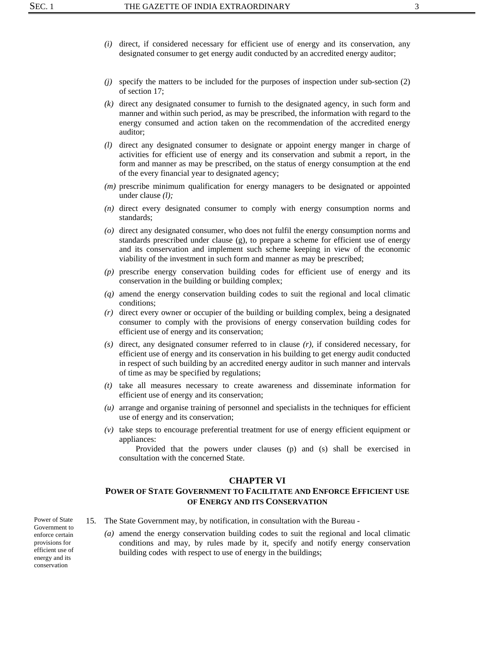- *(i)* direct, if considered necessary for efficient use of energy and its conservation, any designated consumer to get energy audit conducted by an accredited energy auditor;
- *(j)* specify the matters to be included for the purposes of inspection under sub-section (2) of section 17;
- *(k)* direct any designated consumer to furnish to the designated agency, in such form and manner and within such period, as may be prescribed, the information with regard to the energy consumed and action taken on the recommendation of the accredited energy auditor;
- *(l)* direct any designated consumer to designate or appoint energy manger in charge of activities for efficient use of energy and its conservation and submit a report, in the form and manner as may be prescribed, on the status of energy consumption at the end of the every financial year to designated agency;
- *(m)* prescribe minimum qualification for energy managers to be designated or appointed under clause *(l);*
- *(n)* direct every designated consumer to comply with energy consumption norms and standards;
- viability of the investment in such form and manner as may be prescribed; *(o)* direct any designated consumer, who does not fulfil the energy consumption norms and standards prescribed under clause (g), to prepare a scheme for efficient use of energy and its conservation and implement such scheme keeping in view of the economic
- *(p)* prescribe energy conservation building codes for efficient use of energy and its conservation in the building or building complex;
- *(q)* amend the energy conservation building codes to suit the regional and local climatic conditions;
- *(r)* direct every owner or occupier of the building or building complex, being a designated consumer to comply with the provisions of energy conservation building codes for efficient use of energy and its conservation;
- *(s)* direct, any designated consumer referred to in clause *(r)*, if considered necessary, for efficient use of energy and its conservation in his building to get energy audit conducted in respect of such building by an accredited energy auditor in such manner and intervals of time as may be specified by regulations;
- *(t)* take all measures necessary to create awareness and disseminate information for efficient use of energy and its conservation;
- *(u)* arrange and organise training of personnel and specialists in the techniques for efficient use of energy and its conservation;
- *(v)* take steps to encourage preferential treatment for use of energy efficient equipment or appliances:

 Provided that the powers under clauses (p) and (s) shall be exercised in consultation with the concerned State.

#### **CHAPTER VI**

### **POWER OF STATE GOVERNMENT TO FACILITATE AND ENFORCE EFFICIENT USE OF ENERGY AND ITS CONSERVATION**

- 15. The State Government may, by notification, in consultation with the Bureau
	- *(a)* amend the energy conservation building codes to suit the regional and local climatic conditions and may, by rules made by it, specify and notify energy conservation building codes with respect to use of energy in the buildings;

Power of State Government to enforce certain provisions for efficient use of energy and its conservation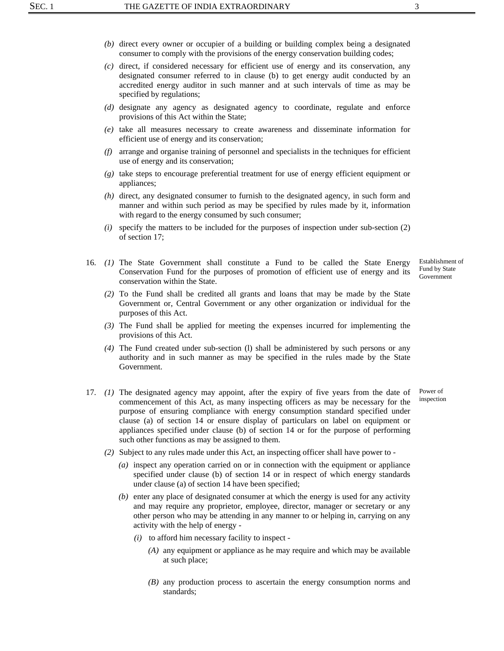- *(b)* direct every owner or occupier of a building or building complex being a designated consumer to comply with the provisions of the energy conservation building codes;
- designated consumer referred to in clause (b) to get energy audit conducted by an specified by regulations; *(c)* direct, if considered necessary for efficient use of energy and its conservation, any accredited energy auditor in such manner and at such intervals of time as may be
- *(d)* designate any agency as designated agency to coordinate, regulate and enforce provisions of this Act within the State;
- *(e)* take all measures necessary to create awareness and disseminate information for efficient use of energy and its conservation;
- *(f)* arrange and organise training of personnel and specialists in the techniques for efficient use of energy and its conservation;
- *(g)* take steps to encourage preferential treatment for use of energy efficient equipment or appliances;
- with regard to the energy consumed by such consumer; *(h)* direct, any designated consumer to furnish to the designated agency, in such form and manner and within such period as may be specified by rules made by it, information
- *(i)* specify the matters to be included for the purposes of inspection under sub-section (2) of section 17;
- 16. *(1)* The State Government shall constitute a Fund to be called the State Energy Conservation Fund for the purposes of promotion of efficient use of energy and its conservation within the State.
	- *(2)* To the Fund shall be credited all grants and loans that may be made by the State Government or, Central Government or any other organization or individual for the purposes of this Act.
	- *(3)* The Fund shall be applied for meeting the expenses incurred for implementing the provisions of this Act.
	- *(4)* The Fund created under sub-section (l) shall be administered by such persons or any authority and in such manner as may be specified in the rules made by the State Government.
- clause (a) of section 14 or ensure display of particulars on label on equipment or 17. *(1)* The designated agency may appoint, after the expiry of five years from the date of commencement of this Act, as many inspecting officers as may be necessary for the Power of inspection purpose of ensuring compliance with energy consumption standard specified under appliances specified under clause (b) of section 14 or for the purpose of performing such other functions as may be assigned to them.
	- *(2)* Subject to any rules made under this Act, an inspecting officer shall have power to
		- specified under clause (b) of section 14 or in respect of which energy standards under clause (a) of section 14 have been specified; *(a)* inspect any operation carried on or in connection with the equipment or appliance
		- *(b)* enter any place of designated consumer at which the energy is used for any activity and may require any proprietor, employee, director, manager or secretary or any other person who may be attending in any manner to or helping in, carrying on any activity with the help of energy -
			- *(i)* to afford him necessary facility to inspect
				- *(A)* any equipment or appliance as he may require and which may be available at such place;
				- *(B)* any production process to ascertain the energy consumption norms and standards;

Establishment of Fund by State Government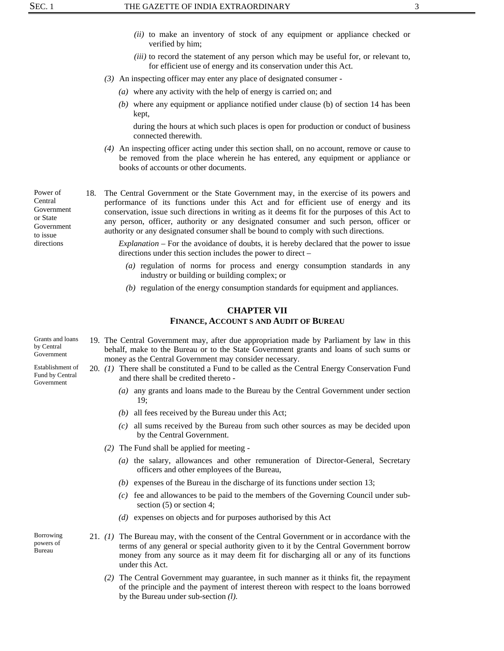- verified by him; *(ii)* to make an inventory of stock of any equipment or appliance checked or
- *(iii)* to record the statement of any person which may be useful for, or relevant to, for efficient use of energy and its conservation under this Act.

*(3)* An inspecting officer may enter any place of designated consumer -

- *(a)* where any activity with the help of energy is carried on; and
- *(b)* where any equipment or appliance notified under clause (b) of section 14 has been kept,

during the hours at which such places is open for production or conduct of business connected therewith.

- *(4)* An inspecting officer acting under this section shall, on no account, remove or cause to be removed from the place wherein he has entered, any equipment or appliance or books of accounts or other documents.
- Power of 18. The Central Government or the State Government may, in the exercise of its powers and Central conservation, issue such directions under this Act and for efficient use of energy and its Government conservation, issue such directions in writing as it deems fit for the purposes of this Act to or State any pers

directions *Explanation* – For the avoidance of doubts, it is hereby declared that the power to issue directions under this section includes the power to direct –

- industry or building or building complex; or *(a)* regulation of norms for process and energy consumption standards in any
- *(b)* regulation of the energy consumption standards for equipment and appliances.

# **CHAPTER VII FINANCE, ACCOUNT S AND AUDIT OF BUREAU**

19. The Central Government may, after due appropriation made by Parliament by law in this Grants and loans 19. The Central Government may, after due appropriation made by Parliament by law in this by Central Sovernment may consider and loans of such sums or money as the Central Government may consider necessary

- Establishment of 20. *(1)* There shall be constituted a Fund to be called as the Central Energy Conservation Fund Fund by Central and there shall be credited thereto -
	- *(a)* any grants and loans made to the Bureau by the Central Government under section 19;
	- *(b)* all fees received by the Bureau under this Act;
	- *(c)* all sums received by the Bureau from such other sources as may be decided upon by the Central Government.
	- *(2)* The Fund shall be applied for meeting
		- officers and other employees of the Bureau, *(a)* the salary, allowances and other remuneration of Director-General, Secretary
		- *(b)* expenses of the Bureau in the discharge of its functions under section 13;
		- section (5) or section 4; *(c)* fee and allowances to be paid to the members of the Governing Council under sub-
		- *(d)* expenses on objects and for purposes authorised by this Act
- Borrowing 21. *(1)* The Bureau may, with the consent of the Central Government or in accordance with the powers of the consent of the consent of the Central Government because powers of terms of any general or special authority given to it by the Central Government borrow Bureau money from any source as it may deem fit for discharging all or any of its functions under this Act.
	- *(2)* The Central Government may guarantee, in such manner as it thinks fit, the repayment of the principle and the payment of interest thereon with respect to the loans borrowed by the Bureau under sub-section *(l)*.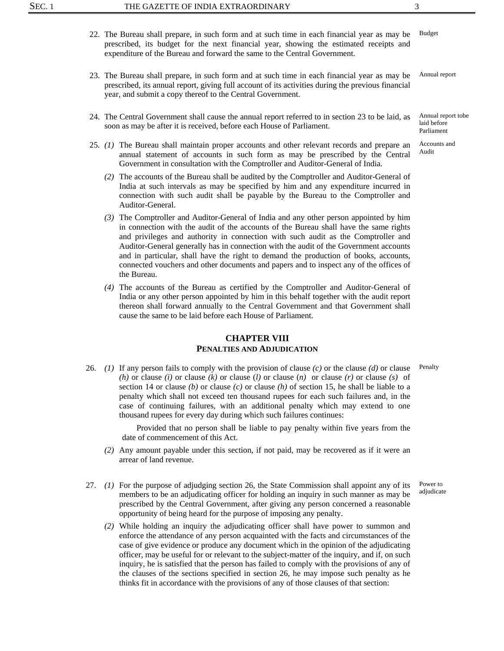- 22. The Bureau shall prepare, in such form and at such time in each financial year as may be prescribed, its budget for the next financial year, showing the estimated receipts and expenditure of the Bureau and forward the same to the Central Government. Budget
- 23. The Bureau shall prepare, in such form and at such time in each financial year as may be prescribed, its annual report, giving full account of its activities during the previous financial year, and submit a copy thereof to the Central Government.
- 24. The Central Government shall cause the annual report referred to in section 23 to be laid, as soon as may be after it is received, before each House of Parliament.
- 25. *(1)* The Bureau shall maintain proper accounts and other relevant records and prepare an annual statement of accounts in such form as may be prescribed by the Central Government in consultation with the Comptroller and Auditor-General of India.
	- *(2)* The accounts of the Bureau shall be audited by the Comptroller and Auditor-General of India at such intervals as may be specified by him and any expenditure incurred in connection with such audit shall be payable by the Bureau to the Comptroller and Auditor-General.
	- and in particular, shall have the right to demand the production of books, accounts, *(3)* The Comptroller and Auditor-General of India and any other person appointed by him in connection with the audit of the accounts of the Bureau shall have the same rights and privileges and authority in connection with such audit as the Comptroller and Auditor-General generally has in connection with the audit of the Government accounts connected vouchers and other documents and papers and to inspect any of the offices of the Bureau.
	- cause the same to be laid before each House of Parliament. *(4)* The accounts of the Bureau as certified by the Comptroller and Auditor-General of India or any other person appointed by him in this behalf together with the audit report thereon shall forward annually to the Central Government and that Government shall

# **CHAPTER VIII PENALTIES AND ADJUDICATION**

26. *(1)* If any person fails to comply with the provision of clause *(c)* or the clause *(d)* or clause *(h)* or clause *(i)* or clause *(k)* or clause (*l)* or clause (*n)* or clause *(r)* or clause *(s)* of section 14 or clause *(b)* or clause *(c)* or clause *(h)* of section 15, he shall be liable to a penalty which shall not exceed ten thousand rupees for each such failures and, in the case of continuing failures, with an additional penalty which may extend to one thousand rupees for every day during which such failures continues: Penalty

> Provided that no person shall be liable to pay penalty within five years from the date of commencement of this Act.

- *(2)* Any amount payable under this section, if not paid, may be recovered as if it were an arrear of land revenue.
- 27. *(1)* For the purpose of adjudging section 26, the State Commission shall appoint any of its prescribed by the Central Government, after giving any person concerned a reasonable members to be an adjudicating officer for holding an inquiry in such manner as may be opportunity of being heard for the purpose of imposing any penalty.
	- inquiry, he is satisfied that the person has failed to comply with the provisions of any of *(2)* While holding an inquiry the adjudicating officer shall have power to summon and enforce the attendance of any person acquainted with the facts and circumstances of the case of give evidence or produce any document which in the opinion of the adjudicating officer, may be useful for or relevant to the subject-matter of the inquiry, and if, on such the clauses of the sections specified in section 26, he may impose such penalty as he thinks fit in accordance with the provisions of any of those clauses of that section:

Annual report

Annual report tobe laid before Parliament

Accounts and Audit

Power to adjudicate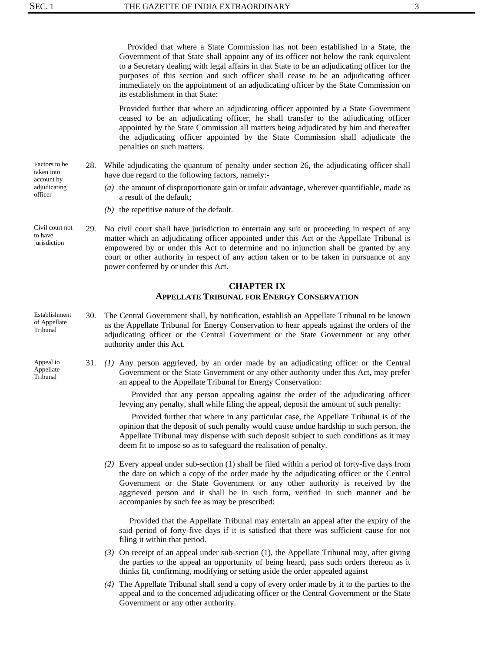Provided that where a State Commission has not been established in a State, the Government of that State shall appoint any of its officer not below the rank equivalent to a Secretary dealing with legal affairs in that State to be an adjudicating officer for the purposes of this section and such officer shall cease to be an adjudicating officer immediately on the appointment of an adjudicating officer by the State Commission on its establishment in that State:

Provided further that where an adjudicating officer appointed by a State Government ceased to be an adjudicating officer, he shall transfer to the adjudicating officer appointed by the State Commission all matters being adjudicated by him and thereafter the adjudicating officer appointed by the State Commission shall adjudicate the penalties on such matters.

- have due regard to the following factors, namely:-Factors to be 28. While adjudicating the quantum of penalty under section 26, the adjudicating officer shall taken into have due regard to the following factors, namely:-
- adjudicating *(a)* the amount of disproportionate gain or unfair advantage, wherever quantifiable, made as officer a result of the default;
	- *(b)* the repetitive nature of the default.
- court or other authority in respect of any action taken or to be taken in pursuance of any power conferred by or under this Act. Civil court not 29. No civil court shall have jurisdiction to entertain any suit or proceeding in respect of any to have matter which an adjudicating officer appointed under this Act or the Appellate Tribunal is empowered

### **CHAPTER IX APPELLATE TRIBUNAL FOR ENERGY CONSERVATION**

- adjudicating officer or the Central Government or the State Government or any other Establishment 30. The Central Government shall, by notification, establish an Appellate Tribunal to be known of Appellate as the Appellate Tribunal for Energy Conservation to hear appeals against the orders of the Tribunal authority under this Act.
- 

Government or the State Government or any other authority under this Act, may prefer Appeal to 31. (1) Any person aggrieved, by an order made by an adjudicating officer or the Central Appellate<br>
Sovernment or the State Government or any other authority under this Act, may prefer<br>
an appeal to the Appellate

> Provided that any person appealing against the order of the adjudicating officer levying any penalty, shall while filing the appeal, deposit the amount of such penalty:

> opinion that the deposit of such penalty would cause undue hardship to such person, the Provided further that where in any particular case, the Appellate Tribunal is of the Appellate Tribunal may dispense with such deposit subject to such conditions as it may deem fit to impose so as to safeguard the realisation of penalty.

*(2)* Every appeal under sub-section (1) shall be filed within a period of forty-five days from the date on which a copy of the order made by the adjudicating officer or the Central Government or the State Government or any other authority is received by the aggrieved person and it shall be in such form, verified in such manner and be accompanies by such fee as may be prescribed:

 Provided that the Appellate Tribunal may entertain an appeal after the expiry of the said period of forty-five days if it is satisfied that there was sufficient cause for not filing it within that period.

- *(3)* On receipt of an appeal under sub-section (1), the Appellate Tribunal may, after giving the parties to the appeal an opportunity of being heard, pass such orders thereon as it thinks fit, confirming, modifying or setting aside the order appealed against
- *(4)* The Appellate Tribunal shall send a copy of every order made by it to the parties to the appeal and to the concerned adjudicating officer or the Central Government or the State Government or any other authority.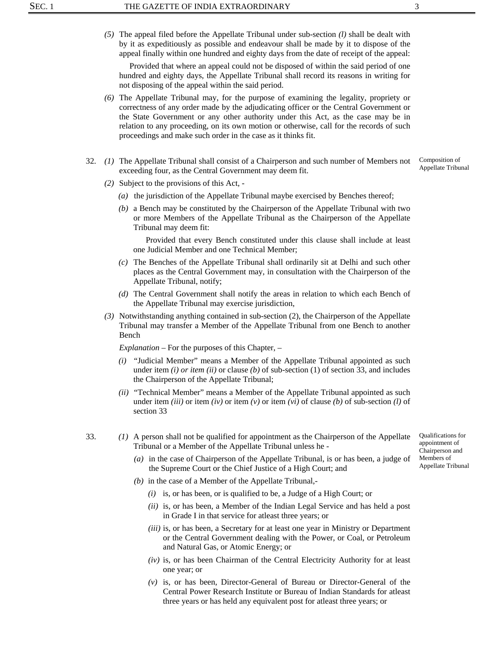*(5)* The appeal filed before the Appellate Tribunal under sub-section *(l)* shall be dealt with by it as expeditiously as possible and endeavour shall be made by it to dispose of the appeal finally within one hundred and eighty days from the date of receipt of the appeal:

Provided that where an appeal could not be disposed of within the said period of one hundred and eighty days, the Appellate Tribunal shall record its reasons in writing for not disposing of the appeal within the said period.

- relation to any proceeding, on its own motion or otherwise, call for the records of such proceedings and make such order in the case as it thinks fit. *(6)* The Appellate Tribunal may, for the purpose of examining the legality, propriety or correctness of any order made by the adjudicating officer or the Central Government or the State Government or any other authority under this Act, as the case may be in
- 32. *(1)* The Appellate Tribunal shall consist of a Chairperson and such number of Members not exceeding four, as the Central Government may deem fit. Composition of Appellate Tribunal
	- *(2)* Subject to the provisions of this Act,
		- *(a)* the jurisdiction of the Appellate Tribunal maybe exercised by Benches thereof;
		- *(b)* a Bench may be constituted by the Chairperson of the Appellate Tribunal with two or more Members of the Appellate Tribunal as the Chairperson of the Appellate Tribunal may deem fit:

Provided that every Bench constituted under this clause shall include at least one Judicial Member and one Technical Member;

- *(c)* The Benches of the Appellate Tribunal shall ordinarily sit at Delhi and such other places as the Central Government may, in consultation with the Chairperson of the Appellate Tribunal, notify;
- *(d)* The Central Government shall notify the areas in relation to which each Bench of the Appellate Tribunal may exercise jurisdiction,
- *(3)* Notwithstanding anything contained in sub-section (2), the Chairperson of the Appellate Tribunal may transfer a Member of the Appellate Tribunal from one Bench to another Bench

*Explanation* – For the purposes of this Chapter, –

- *(i)* "Judicial Member" means a Member of the Appellate Tribunal appointed as such under item *(i) or item (ii)* or clause *(b)* of sub-section (1) of section 33, and includes the Chairperson of the Appellate Tribunal;
- under item *(iii)* or item *(iv)* or item *(v)* or item *(vi)* of clause *(b)* of sub-section *(l)* of *(ii)* "Technical Member" means a Member of the Appellate Tribunal appointed as such section 33
- 33. *(1)* A person shall not be qualified for appointment as the Chairperson of the Appellate Tribunal or a Member of the Appellate Tribunal unless he -
	- *(a)* in the case of Chairperson of the Appellate Tribunal, is or has been, a judge of the Supreme Court or the Chief Justice of a High Court; and
	- *(b)* in the case of a Member of the Appellate Tribunal,-
		- *(i)* is, or has been, or is qualified to be, a Judge of a High Court; or
		- *(ii)* is, or has been, a Member of the Indian Legal Service and has held a post in Grade I in that service for atleast three years; or
		- and Natural Gas, or Atomic Energy; or *(iii)* is, or has been, a Secretary for at least one year in Ministry or Department or the Central Government dealing with the Power, or Coal, or Petroleum
		- *(iv)* is, or has been Chairman of the Central Electricity Authority for at least one year; or
		- three years or has held any equivalent post for atleast three years; or *(v)* is, or has been, Director-General of Bureau or Director-General of the Central Power Research Institute or Bureau of Indian Standards for atleast

Qualifications for appointment of Chairperson and Members of Appellate Tribunal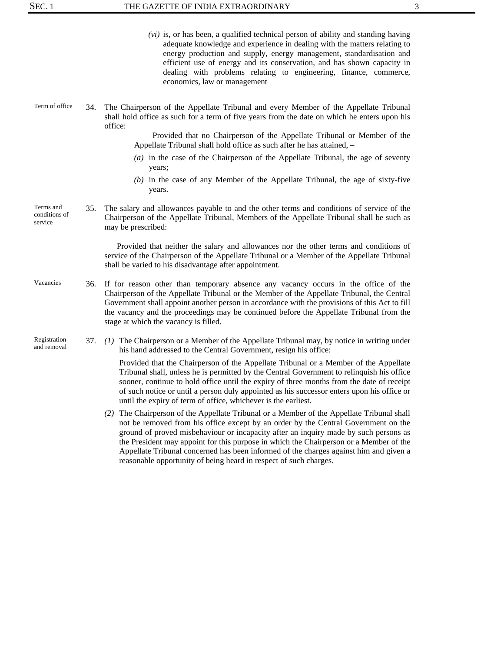| $(vi)$ is, or has been, a qualified technical person of ability and standing having<br>adequate knowledge and experience in dealing with the matters relating to                                                                                     |
|------------------------------------------------------------------------------------------------------------------------------------------------------------------------------------------------------------------------------------------------------|
| energy production and supply, energy management, standardisation and<br>efficient use of energy and its conservation, and has shown capacity in<br>dealing with problems relating to engineering, finance, commerce,<br>economics, law or management |

Term of office 34. The Chairperson of the Appellate Tribunal and every Member of the Appellate Tribunal shall hold office as such for a term of five years from the date on which he enters upon his office:

> Appellate Tribunal shall hold office as such after he has attained, – Provided that no Chairperson of the Appellate Tribunal or Member of the

- *(a)* in the case of the Chairperson of the Appellate Tribunal, the age of seventy years;
- *(b)* in the case of any Member of the Appellate Tribunal, the age of sixty-five years.
- Terms and conditions of service 35. The salary and allowances payable to and the other terms and conditions of service of the Chairperson of the Appellate Tribunal, Members of the Appellate Tribunal shall be such as may be prescribed:

Provided that neither the salary and allowances nor the other terms and conditions of service of the Chairperson of the Appellate Tribunal or a Member of the Appellate Tribunal shall be varied to his disadvantage after appointment.

- the vacancy and the proceedings may be continued before the Appellate Tribunal from the Vacancies 36. If for reason other than temporary absence any vacancy occurs in the office of the Chairperson of the Appellate Tribunal or the Member of the Appellate Tribunal, the Central Government shall appoint another person in accordance with the provisions of this Act to fill stage at which the vacancy is filled.
- Registration and removal
- his hand addressed to the Central Government, resign his office: 37. *(1)* The Chairperson or a Member of the Appellate Tribunal may, by notice in writing under

 of such notice or until a person duly appointed as his successor enters upon his office or Provided that the Chairperson of the Appellate Tribunal or a Member of the Appellate Tribunal shall, unless he is permitted by the Central Government to relinquish his office sooner, continue to hold office until the expiry of three months from the date of receipt until the expiry of term of office, whichever is the earliest.

*(2)* The Chairperson of the Appellate Tribunal or a Member of the Appellate Tribunal shall not be removed from his office except by an order by the Central Government on the ground of proved misbehaviour or incapacity after an inquiry made by such persons as the President may appoint for this purpose in which the Chairperson or a Member of the Appellate Tribunal concerned has been informed of the charges against him and given a reasonable opportunity of being heard in respect of such charges.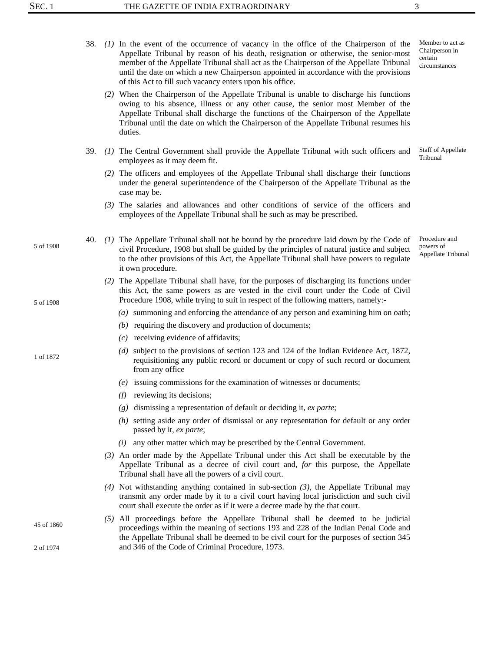|            |     | 38. (1) In the event of the occurrence of vacancy in the office of the Chairperson of the<br>Appellate Tribunal by reason of his death, resignation or otherwise, the senior-most<br>member of the Appellate Tribunal shall act as the Chairperson of the Appellate Tribunal<br>until the date on which a new Chairperson appointed in accordance with the provisions<br>of this Act to fill such vacancy enters upon his office. | Member to act as<br>Chairperson in<br>certain<br>circumstances |
|------------|-----|-----------------------------------------------------------------------------------------------------------------------------------------------------------------------------------------------------------------------------------------------------------------------------------------------------------------------------------------------------------------------------------------------------------------------------------|----------------------------------------------------------------|
|            |     | (2) When the Chairperson of the Appellate Tribunal is unable to discharge his functions<br>owing to his absence, illness or any other cause, the senior most Member of the<br>Appellate Tribunal shall discharge the functions of the Chairperson of the Appellate<br>Tribunal until the date on which the Chairperson of the Appellate Tribunal resumes his<br>duties.                                                           |                                                                |
|            | 39. | (1) The Central Government shall provide the Appellate Tribunal with such officers and<br>employees as it may deem fit.                                                                                                                                                                                                                                                                                                           | <b>Staff of Appellate</b><br>Tribunal                          |
|            |     | (2) The officers and employees of the Appellate Tribunal shall discharge their functions<br>under the general superintendence of the Chairperson of the Appellate Tribunal as the<br>case may be.                                                                                                                                                                                                                                 |                                                                |
|            |     | $(3)$ The salaries and allowances and other conditions of service of the officers and<br>employees of the Appellate Tribunal shall be such as may be prescribed.                                                                                                                                                                                                                                                                  |                                                                |
| 5 of 1908  | 40. | (1) The Appellate Tribunal shall not be bound by the procedure laid down by the Code of<br>civil Procedure, 1908 but shall be guided by the principles of natural justice and subject<br>to the other provisions of this Act, the Appellate Tribunal shall have powers to regulate<br>it own procedure.                                                                                                                           | Procedure and<br>powers of<br>Appellate Tribunal               |
| 5 of 1908  |     | (2) The Appellate Tribunal shall have, for the purposes of discharging its functions under<br>this Act, the same powers as are vested in the civil court under the Code of Civil<br>Procedure 1908, while trying to suit in respect of the following matters, namely:-                                                                                                                                                            |                                                                |
|            |     | $(a)$ summoning and enforcing the attendance of any person and examining him on oath;                                                                                                                                                                                                                                                                                                                                             |                                                                |
|            |     | $(b)$ requiring the discovery and production of documents;                                                                                                                                                                                                                                                                                                                                                                        |                                                                |
|            |     | $(c)$ receiving evidence of affidavits;                                                                                                                                                                                                                                                                                                                                                                                           |                                                                |
| 1 of 1872  |     | (d) subject to the provisions of section 123 and 124 of the Indian Evidence Act, 1872,<br>requisitioning any public record or document or copy of such record or document<br>from any office                                                                                                                                                                                                                                      |                                                                |
|            |     | $(e)$ issuing commissions for the examination of witnesses or documents;                                                                                                                                                                                                                                                                                                                                                          |                                                                |
|            |     | reviewing its decisions;<br>(f)                                                                                                                                                                                                                                                                                                                                                                                                   |                                                                |
|            |     | $(g)$ dismissing a representation of default or deciding it, ex parte;                                                                                                                                                                                                                                                                                                                                                            |                                                                |
|            |     | $(h)$ setting aside any order of dismissal or any representation for default or any order<br>passed by it, ex parte;                                                                                                                                                                                                                                                                                                              |                                                                |
|            |     | any other matter which may be prescribed by the Central Government.<br>(i)                                                                                                                                                                                                                                                                                                                                                        |                                                                |
|            |     | (3) An order made by the Appellate Tribunal under this Act shall be executable by the<br>Appellate Tribunal as a decree of civil court and, for this purpose, the Appellate<br>Tribunal shall have all the powers of a civil court.                                                                                                                                                                                               |                                                                |
|            |     | $(4)$ Not with standing anything contained in sub-section $(3)$ , the Appellate Tribunal may<br>transmit any order made by it to a civil court having local jurisdiction and such civil<br>court shall execute the order as if it were a decree made by the that court.                                                                                                                                                           |                                                                |
| 45 of 1860 |     | (5) All proceedings before the Appellate Tribunal shall be deemed to be judicial<br>proceedings within the meaning of sections 193 and 228 of the Indian Penal Code and<br>the Appellate Tribunal shall be deemed to be civil court for the purposes of section 345                                                                                                                                                               |                                                                |
| 2 of 1974  |     | and 346 of the Code of Criminal Procedure, 1973.                                                                                                                                                                                                                                                                                                                                                                                  |                                                                |
|            |     |                                                                                                                                                                                                                                                                                                                                                                                                                                   |                                                                |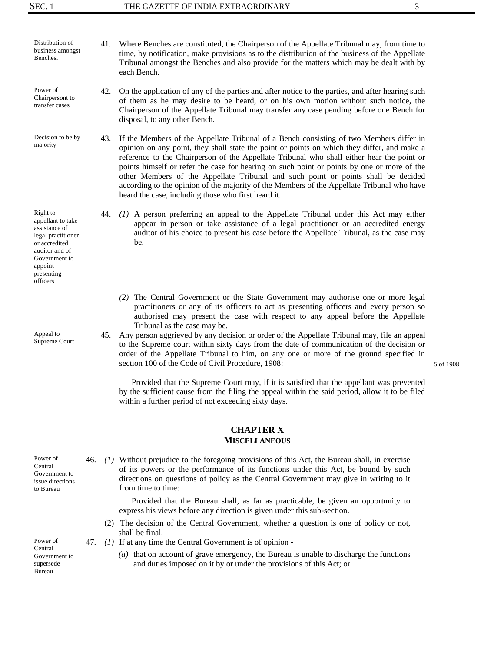supersede<br>Bureau

| Distribution of<br>business amongst<br>Benches.                                                                                                               |     | 41. | Where Benches are constituted, the Chairperson of the Appellate Tribunal may, from time to<br>time, by notification, make provisions as to the distribution of the business of the Appellate<br>Tribunal amongst the Benches and also provide for the matters which may be dealt with by<br>each Bench.                                                                                                                                                                                                                                                                                                                                  |           |
|---------------------------------------------------------------------------------------------------------------------------------------------------------------|-----|-----|------------------------------------------------------------------------------------------------------------------------------------------------------------------------------------------------------------------------------------------------------------------------------------------------------------------------------------------------------------------------------------------------------------------------------------------------------------------------------------------------------------------------------------------------------------------------------------------------------------------------------------------|-----------|
| Power of<br>Chairpersont to<br>transfer cases                                                                                                                 |     | 42. | On the application of any of the parties and after notice to the parties, and after hearing such<br>of them as he may desire to be heard, or on his own motion without such notice, the<br>Chairperson of the Appellate Tribunal may transfer any case pending before one Bench for<br>disposal, to any other Bench.                                                                                                                                                                                                                                                                                                                     |           |
| Decision to be by<br>majority                                                                                                                                 |     | 43. | If the Members of the Appellate Tribunal of a Bench consisting of two Members differ in<br>opinion on any point, they shall state the point or points on which they differ, and make a<br>reference to the Chairperson of the Appellate Tribunal who shall either hear the point or<br>points himself or refer the case for hearing on such point or points by one or more of the<br>other Members of the Appellate Tribunal and such point or points shall be decided<br>according to the opinion of the majority of the Members of the Appellate Tribunal who have<br>heard the case, including those who first heard it.              |           |
| Right to<br>appellant to take<br>assistance of<br>legal practitioner<br>or accredited<br>auditor and of<br>Government to<br>appoint<br>presenting<br>officers |     |     | 44. (1) A person preferring an appeal to the Appellate Tribunal under this Act may either<br>appear in person or take assistance of a legal practitioner or an accredited energy<br>auditor of his choice to present his case before the Appellate Tribunal, as the case may<br>be.                                                                                                                                                                                                                                                                                                                                                      |           |
| Appeal to<br>Supreme Court                                                                                                                                    |     | 45. | (2) The Central Government or the State Government may authorise one or more legal<br>practitioners or any of its officers to act as presenting officers and every person so<br>authorised may present the case with respect to any appeal before the Appellate<br>Tribunal as the case may be.<br>Any person aggrieved by any decision or order of the Appellate Tribunal may, file an appeal<br>to the Supreme court within sixty days from the date of communication of the decision or<br>order of the Appellate Tribunal to him, on any one or more of the ground specified in<br>section 100 of the Code of Civil Procedure, 1908: | 5 of 1908 |
|                                                                                                                                                               |     |     | Provided that the Supreme Court may, if it is satisfied that the appellant was prevented<br>by the sufficient cause from the filing the appeal within the said period, allow it to be filed<br>within a further period of not exceeding sixty days.                                                                                                                                                                                                                                                                                                                                                                                      |           |
|                                                                                                                                                               |     |     | <b>CHAPTER X</b><br><b>MISCELLANEOUS</b>                                                                                                                                                                                                                                                                                                                                                                                                                                                                                                                                                                                                 |           |
| Power of<br>Central<br>Government to<br>issue directions<br>to Bureau                                                                                         | 46. |     | (1) Without prejudice to the foregoing provisions of this Act, the Bureau shall, in exercise<br>of its powers or the performance of its functions under this Act, be bound by such<br>directions on questions of policy as the Central Government may give in writing to it<br>from time to time:                                                                                                                                                                                                                                                                                                                                        |           |
|                                                                                                                                                               |     |     | Provided that the Bureau shall, as far as practicable, be given an opportunity to<br>express his views before any direction is given under this sub-section.                                                                                                                                                                                                                                                                                                                                                                                                                                                                             |           |
|                                                                                                                                                               |     |     | (2) The decision of the Central Government, whether a question is one of policy or not,<br>shall be final.                                                                                                                                                                                                                                                                                                                                                                                                                                                                                                                               |           |
| Power of<br>Central                                                                                                                                           | 47. |     | $(1)$ If at any time the Central Government is of opinion -<br>$(a)$ that on account of grave emergency, the Bureau is unable to discharge the functions                                                                                                                                                                                                                                                                                                                                                                                                                                                                                 |           |
| Government to                                                                                                                                                 |     |     |                                                                                                                                                                                                                                                                                                                                                                                                                                                                                                                                                                                                                                          |           |

supersede and duties imposed on it by or under the provisions of this Act; or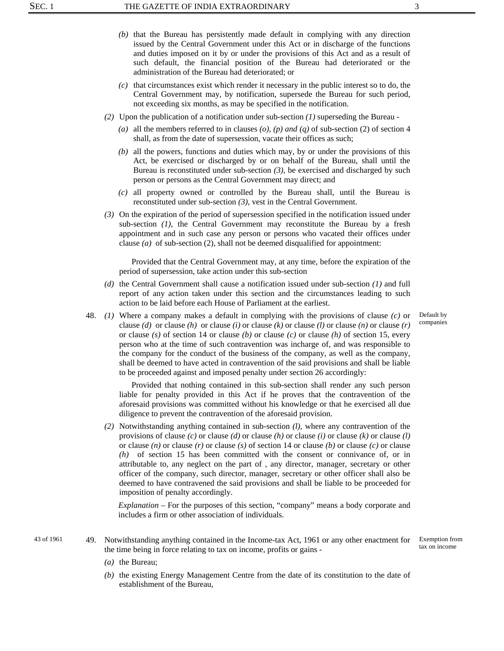- issued by the Central Government under this Act or in discharge of the functions and duties imposed on it by or under the provisions of this Act and as a result of administration of the Bureau had deteriorated; or *(b)* that the Bureau has persistently made default in complying with any direction such default, the financial position of the Bureau had deteriorated or the
- *(c)* that circumstances exist which render it necessary in the public interest so to do, the Central Government may, by notification, supersede the Bureau for such period, not exceeding six months, as may be specified in the notification.
- *(2)* Upon the publication of a notification under sub-section *(1)* superseding the Bureau
	- *(a)* all the members referred to in clauses *(o), (p) and (q)* of sub-section (2) of section 4 shall, as from the date of supersession, vacate their offices as such;
	- person or persons as the Central Government may direct; and *(b)* all the powers, functions and duties which may, by or under the provisions of this Act, be exercised or discharged by or on behalf of the Bureau, shall until the Bureau is reconstituted under sub-section *(3)*, be exercised and discharged by such
	- *(c)* all property owned or controlled by the Bureau shall, until the Bureau is reconstituted under sub-section *(3)*, vest in the Central Government.
- *(3)* On the expiration of the period of supersession specified in the notification issued under sub-section *(1),* the Central Government may reconstitute the Bureau by a fresh appointment and in such case any person or persons who vacated their offices under clause *(a)* of sub-section (2), shall not be deemed disqualified for appointment:

Provided that the Central Government may, at any time, before the expiration of the period of supersession, take action under this sub-section

- *(d)* the Central Government shall cause a notification issued under sub-section *(1)* and full report of any action taken under this section and the circumstances leading to such action to be laid before each House of Parliament at the earliest.
- person who at the time of such contravention was incharge of, and was responsible to 48. *(1)* Where a company makes a default in complying with the provisions of clause *(c)* or clause *(d)* or clause *(h)* or clause *(i)* or clause *(k)* or clause *(l)* or clause *(n)* or clause *(r)*  or clause *(s)* of section 14 or clause *(b)* or clause *(c)* or clause *(h)* of section 15, every the company for the conduct of the business of the company, as well as the company, shall be deemed to have acted in contravention of the said provisions and shall be liable to be proceeded against and imposed penalty under section 26 accordingly:

 diligence to prevent the contravention of the aforesaid provision. Provided that nothing contained in this sub-section shall render any such person liable for penalty provided in this Act if he proves that the contravention of the aforesaid provisions was committed without his knowledge or that he exercised all due

 attributable to, any neglect on the part of , any director, manager, secretary or other *(2)* Notwithstanding anything contained in sub-section *(l),* where any contravention of the provisions of clause *(c)* or clause *(d)* or clause *(h)* or clause *(i)* or clause *(k)* or clause *(l)*  or clause *(n)* or clause *(r)* or clause *(s)* of section 14 or clause *(b)* or clause *(c)* or clause *(h)* of section 15 has been committed with the consent or connivance of, or in officer of the company, such director, manager, secretary or other officer shall also be deemed to have contravened the said provisions and shall be liable to be proceeded for imposition of penalty accordingly.

*Explanation* – For the purposes of this section, "company" means a body corporate and includes a firm or other association of individuals.

- 43 of 1961 49. Notwithstanding anything contained in the Income-tax Act, 1961 or any other enactment for the time being in force relating to tax on income, profits or gains - Exemption from tax on income
	- *(a)* the Bureau;
	- *(b)* the existing Energy Management Centre from the date of its constitution to the date of establishment of the Bureau,

Default by companies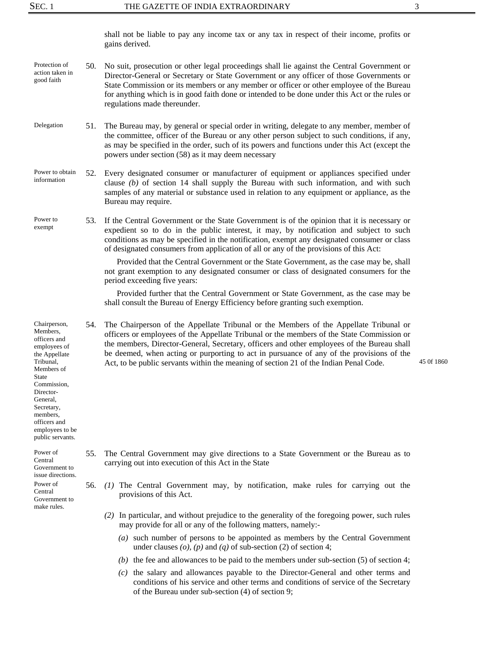shall not be liable to pay any income tax or any tax in respect of their income, profits or gains derived.

- Protection of 50. No suit, prosecution or other legal proceedings shall lie against the Central Government or action taken in Director-General or Secretary or State Government or any officer of those Governments or State C for anything which is in good faith done or intended to be done under this Act or the rules or regulations made thereunder.
- Delegation 51. The Bureau may, by general or special order in writing, delegate to any member, member of the committee, officer of the Bureau or any other person subject to such conditions, if any, as may be specified in the order, such of its powers and functions under this Act (except the powers under section (58) as it may deem necessary
- clause  $(b)$  of section 14 shall supply the Bureau with such information, and with such Power to obtain 52. Every designated consumer or manufacturer of equipment or appliances specified under information clause *(b)* of section 14 shall supply the Bureau with such information, and with such samples of any material or substance used in relation to any equipment or appliance, as the Bureau may require.
- of designated consumers from application of all or any of the provisions of this Act: Power to 53. If the Central Government or the State Government is of the opinion that it is necessary or exempt expedient so to do in the public interest, it may, by notification and subject to such conditions as may be specified in the notification, exempt any designated consumer or class

 Provided that the Central Government or the State Government, as the case may be, shall not grant exemption to any designated consumer or class of designated consumers for the period exceeding five years:

 Provided further that the Central Government or State Government, as the case may be shall consult the Bureau of Energy Efficiency before granting such exemption.

Chairperson, 54. The Chairperson of the Appellate Tribunal or the Members of the Appellate Tribunal or Members,<br>Members, officers or employees of the Appellate Tribunal or the members of the State Commission or<br>the members the Appellate be deemed, when acting or purporting to act in pursuance of any of the provisions of the Tribunal, Act, to be public servants within the meaning of section 21 of the Indian Penal Code. 45 0f 1860 Members of

issue directions. make rules.

State Commission, Director-General, Secretary, members, officers and employees to be public servants.

- Power of 55. The Central Government may give directions to a State Government or the Bureau as to Central carrying out into execution of this Act in the State Government to
- Power of 56. *(1)* The Central Government may, by notification, make rules for carrying out the Central provisions of this Act.
	- *(2)* In particular, and without prejudice to the generality of the foregoing power, such rules may provide for all or any of the following matters, namely:
		- under clauses  $(o)$ ,  $(p)$  and  $(q)$  of sub-section  $(2)$  of section 4; *(a)* such number of persons to be appointed as members by the Central Government
		- $(b)$  the fee and allowances to be paid to the members under sub-section  $(5)$  of section 4;
		- *(c)* the salary and allowances payable to the Director-General and other terms and conditions of his service and other terms and conditions of service of the Secretary of the Bureau under sub-section (4) of section 9;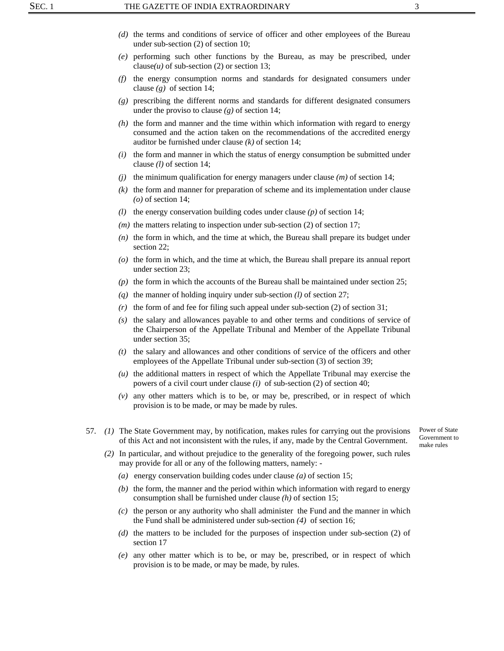- *(e)* performing such other functions by the Bureau, as may be prescribed, under clause( $u$ ) of sub-section (2) or section 13;
- *(f)* the energy consumption norms and standards for designated consumers under clause *(g)* of section 14;
- *(g)* prescribing the different norms and standards for different designated consumers under the proviso to clause *(g)* of section 14;
- *(h)* the form and manner and the time within which information with regard to energy consumed and the action taken on the recommendations of the accredited energy auditor be furnished under clause *(k)* of section 14;
- *(i)* the form and manner in which the status of energy consumption be submitted under clause *(l)* of section 14;
- *(j)* the minimum qualification for energy managers under clause *(m)* of section 14;
- *(k)* the form and manner for preparation of scheme and its implementation under clause *(o)* of section 14;
- *(l)* the energy conservation building codes under clause *(p)* of section 14;
- *(m)* the matters relating to inspection under sub-section (2) of section 17;
- *(n)* the form in which, and the time at which, the Bureau shall prepare its budget under section 22;
- *(o)* the form in which, and the time at which, the Bureau shall prepare its annual report under section 23;
- $(p)$  the form in which the accounts of the Bureau shall be maintained under section 25;
- *(q)* the manner of holding inquiry under sub-section *(l)* of section 27;
- *(r)* the form of and fee for filing such appeal under sub-section (2) of section 31;
- *(s)* the salary and allowances payable to and other terms and conditions of service of the Chairperson of the Appellate Tribunal and Member of the Appellate Tribunal under section 35;
- *(t)* the salary and allowances and other conditions of service of the officers and other employees of the Appellate Tribunal under sub-section (3) of section 39;
- *(u)* the additional matters in respect of which the Appellate Tribunal may exercise the powers of a civil court under clause *(i)* of sub-section (2) of section 40;
- provision is to be made, or may be made by rules. *(v)* any other matters which is to be, or may be, prescribed, or in respect of which
- 57. *(1)* The State Government may, by notification, makes rules for carrying out the provisions of this Act and not inconsistent with the rules, if any, made by the Central Government.

Power of State Government to make rules

- *(2)* In particular, and without prejudice to the generality of the foregoing power, such rules may provide for all or any of the following matters, namely: -
	- *(a)* energy conservation building codes under clause *(a)* of section 15;
	- *(b)* the form, the manner and the period within which information with regard to energy consumption shall be furnished under clause *(h)* of section 15;
	- *(c)* the person or any authority who shall administer the Fund and the manner in which the Fund shall be administered under sub-section *(4)* of section 16;
	- *(d)* the matters to be included for the purposes of inspection under sub-section (2) of section 17
	- *(e)* any other matter which is to be, or may be, prescribed, or in respect of which provision is to be made, or may be made, by rules.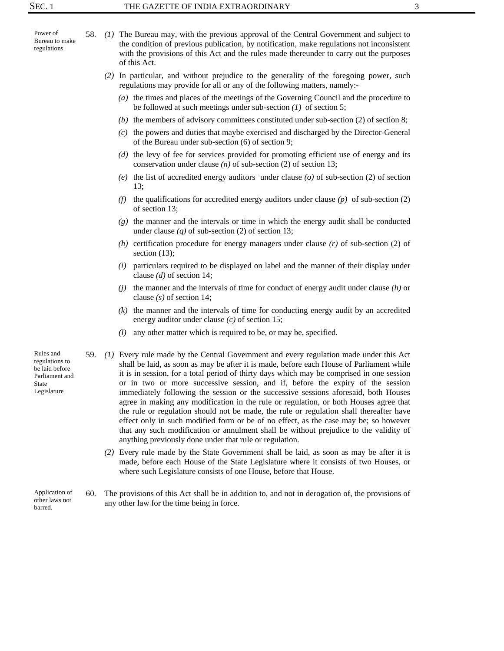| Power of<br>regulations                  | Bureau to make                                     | 58. | (1) The Bureau may, with the previous approval of the Central Government and subject to<br>the condition of previous publication, by notification, make regulations not inconsistent<br>with the provisions of this Act and the rules made thereunder to carry out the purposes<br>of this Act.                                                                                                                                                                                                                                                                                                                                                                                                                                                                                                                                                                                          |
|------------------------------------------|----------------------------------------------------|-----|------------------------------------------------------------------------------------------------------------------------------------------------------------------------------------------------------------------------------------------------------------------------------------------------------------------------------------------------------------------------------------------------------------------------------------------------------------------------------------------------------------------------------------------------------------------------------------------------------------------------------------------------------------------------------------------------------------------------------------------------------------------------------------------------------------------------------------------------------------------------------------------|
|                                          |                                                    |     | (2) In particular, and without prejudice to the generality of the foregoing power, such<br>regulations may provide for all or any of the following matters, namely:-                                                                                                                                                                                                                                                                                                                                                                                                                                                                                                                                                                                                                                                                                                                     |
|                                          |                                                    |     | (a) the times and places of the meetings of the Governing Council and the procedure to<br>be followed at such meetings under sub-section $(1)$ of section 5;                                                                                                                                                                                                                                                                                                                                                                                                                                                                                                                                                                                                                                                                                                                             |
|                                          |                                                    |     | (b) the members of advisory committees constituted under sub-section $(2)$ of section 8;                                                                                                                                                                                                                                                                                                                                                                                                                                                                                                                                                                                                                                                                                                                                                                                                 |
|                                          |                                                    |     | $(c)$ the powers and duties that maybe exercised and discharged by the Director-General<br>of the Bureau under sub-section $(6)$ of section 9;                                                                                                                                                                                                                                                                                                                                                                                                                                                                                                                                                                                                                                                                                                                                           |
|                                          |                                                    |     | (d) the levy of fee for services provided for promoting efficient use of energy and its<br>conservation under clause $(n)$ of sub-section (2) of section 13;                                                                                                                                                                                                                                                                                                                                                                                                                                                                                                                                                                                                                                                                                                                             |
|                                          |                                                    |     | (e) the list of accredited energy auditors under clause (o) of sub-section (2) of section<br>13;                                                                                                                                                                                                                                                                                                                                                                                                                                                                                                                                                                                                                                                                                                                                                                                         |
|                                          |                                                    |     | the qualifications for accredited energy auditors under clause $(p)$ of sub-section $(2)$<br>(f)<br>of section 13:                                                                                                                                                                                                                                                                                                                                                                                                                                                                                                                                                                                                                                                                                                                                                                       |
|                                          |                                                    |     | $(g)$ the manner and the intervals or time in which the energy audit shall be conducted<br>under clause $(q)$ of sub-section (2) of section 13;                                                                                                                                                                                                                                                                                                                                                                                                                                                                                                                                                                                                                                                                                                                                          |
|                                          |                                                    |     | (h) certification procedure for energy managers under clause $(r)$ of sub-section (2) of<br>section $(13)$ ;                                                                                                                                                                                                                                                                                                                                                                                                                                                                                                                                                                                                                                                                                                                                                                             |
|                                          |                                                    |     | particulars required to be displayed on label and the manner of their display under<br>(i)<br>clause $(d)$ of section 14;                                                                                                                                                                                                                                                                                                                                                                                                                                                                                                                                                                                                                                                                                                                                                                |
|                                          |                                                    |     | the manner and the intervals of time for conduct of energy audit under clause $(h)$ or<br>(i)<br>clause $(s)$ of section 14;                                                                                                                                                                                                                                                                                                                                                                                                                                                                                                                                                                                                                                                                                                                                                             |
|                                          |                                                    |     | $(k)$ the manner and the intervals of time for conducting energy audit by an accredited<br>energy auditor under clause $(c)$ of section 15;                                                                                                                                                                                                                                                                                                                                                                                                                                                                                                                                                                                                                                                                                                                                              |
|                                          |                                                    |     | any other matter which is required to be, or may be, specified.<br>(l)                                                                                                                                                                                                                                                                                                                                                                                                                                                                                                                                                                                                                                                                                                                                                                                                                   |
| Rules and<br><b>State</b><br>Legislature | regulations to<br>be laid before<br>Parliament and | 59. | (1) Every rule made by the Central Government and every regulation made under this Act<br>shall be laid, as soon as may be after it is made, before each House of Parliament while<br>it is in session, for a total period of thirty days which may be comprised in one session<br>or in two or more successive session, and if, before the expiry of the session<br>immediately following the session or the successive sessions aforesaid, both Houses<br>agree in making any modification in the rule or regulation, or both Houses agree that<br>the rule or regulation should not be made, the rule or regulation shall thereafter have<br>effect only in such modified form or be of no effect, as the case may be; so however<br>that any such modification or annulment shall be without prejudice to the validity of<br>anything previously done under that rule or regulation. |

*(2)* Every rule made by the State Government shall be laid, as soon as may be after it is made, before each House of the State Legislature where it consists of two Houses, or where such Legislature consists of one House, before that House.

Application of other laws not barred. 60. The provisions of this Act shall be in addition to, and not in derogation of, the provisions of any other law for the time being in force.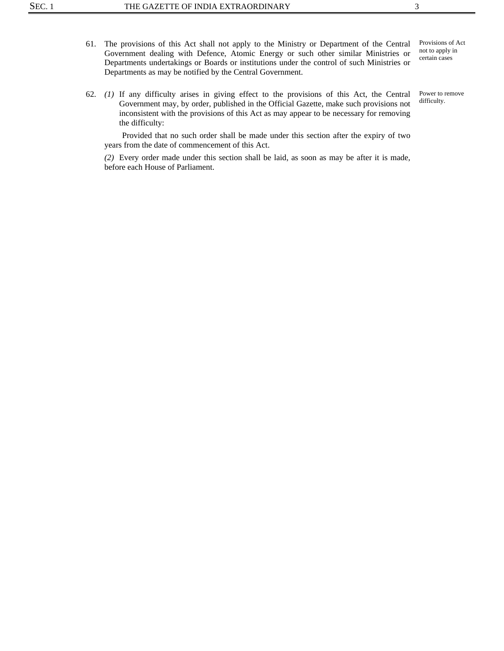- 61. The provisions of this Act shall not apply to the Ministry or Department of the Central Provisions of Act<br>Government dealing with Defence Atomic Energy or such other similar Ministries or not to apply in Government dealing with Defence, Atomic Energy or such other similar Ministries or notable potential cases Departments undertakings or Boards or institutions under the control of such Ministries or Departments as may be notified by the Central Government.
- 62. *(1)* If any difficulty arises in giving effect to the provisions of this Act, the Central Power to remove Government may, by order, published in the Official Gazette, make such provisions not inconsistent with the provisions of this Act as may appear to be necessary for removing the difficulty:

 Provided that no such order shall be made under this section after the expiry of two years from the date of commencement of this Act.

*(2)* Every order made under this section shall be laid, as soon as may be after it is made, before each House of Parliament.